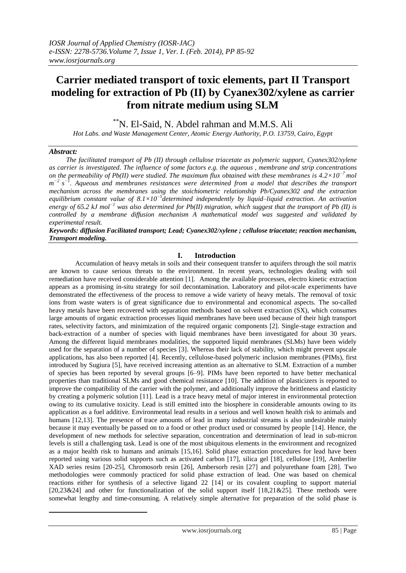# **Carrier mediated transport of toxic elements, part II Transport modeling for extraction of Pb (II) by Cyanex302/xylene as carrier from nitrate medium using SLM**

\*\*N. El-Said, N. Abdel rahman and M.M.S. Ali

*Hot Labs. and Waste Management Center, Atomic Energy Authority, P.O. 13759, Cairo, Egypt*

# *Abstract:*

1

 *The facilitated transport of Pb (II) through cellulose triacetate as polymeric support, Cyanex302/xylene as carrier is investigated. The influence of some factors e.g. the aqueous , membrane and strip concentrations on the permeability of Pb(II) were studied. The maximum flux obtained with these membranes is 4.2×10−7 mol*   $m^{-2}$  s<sup>-1</sup>. Aqueous and membranes resistances were determined from a model that describes the transport *mechanism across the membranes using the stoichiometric relationship Pb/Cyanex302 and the extraction equilibrium constant value of 8.1×10−5 determined independently by liquid–liquid extraction. An activation energy of 65.2 kJ mol−1 was also determined for Pb(II) migration, which suggest that the transport of Pb (II) is controlled by a membrane diffusion mechanism A mathematical model was suggested and validated by experimental result.* 

*Keywords: diffusion Facilitated transport; Lead; Cyanex302/xylene ; cellulose triacetate; reaction mechanism, Transport modeling.*

# **I. Introduction**

Accumulation of heavy metals in soils and their consequent transfer to aquifers through the soil matrix are known to cause serious threats to the environment. In recent years, technologies dealing with soil remediation have received considerable attention [1]. Among the available processes, electro kinetic extraction appears as a promising in-situ strategy for soil decontamination. Laboratory and pilot-scale experiments have demonstrated the effectiveness of the process to remove a wide variety of heavy metals. The removal of toxic ions from waste waters is of great significance due to environmental and economical aspects. The so-called heavy metals have been recovered with separation methods based on solvent extraction (SX), which consumes large amounts of organic extraction processes liquid membranes have been used because of their high transport rates, selectivity factors, and minimization of the required organic components [2]. Single-stage extraction and back-extraction of a number of species with liquid membranes have been investigated for about 30 years. Among the different liquid membranes modalities, the supported liquid membranes (SLMs) have been widely used for the separation of a number of species [3]. Whereas their lack of stability, which might prevent upscale applications, has also been reported [4]. Recently, cellulose-based polymeric inclusion membranes (PIMs), first introduced by Sugiura [5], have received increasing attention as an alternative to SLM. Extraction of a number of species has been reported by several groups [6–9]. PIMs have been reported to have better mechanical properties than traditional SLMs and good chemical resistance [10]. The addition of plasticizers is reported to improve the compatibility of the carrier with the polymer, and additionally improve the brittleness and elasticity by creating a polymeric solution [11]. Lead is a trace heavy metal of major interest in environmental protection owing to its cumulative toxicity. Lead is still emitted into the biosphere in considerable amounts owing to its application as a fuel additive. Environmental lead results in a serious and well known health risk to animals and humans [12,13]. The presence of trace amounts of lead in many industrial streams is also undesirable mainly because it may eventually be passed on to a food or other product used or consumed by people [14]. Hence, the development of new methods for selective separation, concentration and determination of lead in sub-micron levels is still a challenging task. Lead is one of the most ubiquitous elements in the environment and recognized as a major health risk to humans and animals [15,16]. Solid phase extraction procedures for lead have been reported using various solid supports such as activated carbon [17], silica gel [18], cellulose [19], Amberlite XAD series resins [20-25], Chromosorb resin [26], Ambersorb resin [27] and polyurethane foam [28]. Two methodologies were commonly practiced for solid phase extraction of lead. One was based on chemical reactions either for synthesis of a selective ligand 22 [14] or its covalent coupling to support material [20,23&24] and other for functionalization of the solid support itself [18,21&25]. These methods were somewhat lengthy and time-consuming. A relatively simple alternative for preparation of the solid phase is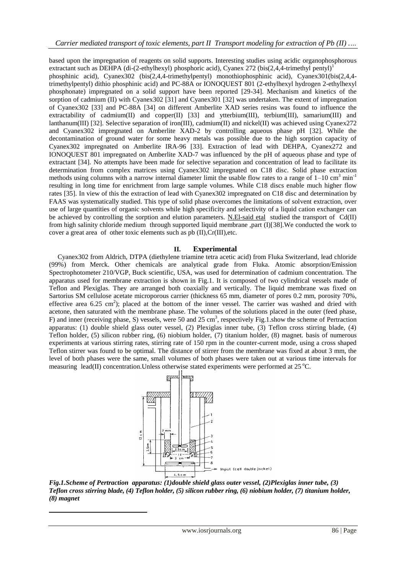based upon the impregnation of reagents on solid supports. Interesting studies using acidic organophosphorous extractant such as DEHPA (di-(2-ethylhexyl) phosphoric acid), Cyanex 272 (bis(2,4,4-trimethyl pentyl)<sup>1</sup>

phosphinic acid), Cyanex302 (bis(2,4,4-trimethylpentyl) monothiophosphinic acid), Cyanex301(bis(2,4,4 trimethylpentyl) dithio phosphinic acid) and PC-88A or IONOQUEST 801 (2-ethylhexyl hydrogen 2-ethylhexyl phosphonate) impregnated on a solid support have been reported [29-34]. Mechanism and kinetics of the sorption of cadmium (II) with Cyanex302 [31] and Cyanex301 [32] was undertaken. The extent of impregnation of Cyanex302 [33] and PC-88A [34] on different Amberlite XAD series resins was found to influence the extractability of cadmium(II) and copper(II) [33] and ytterbium(III), terbium(III), samarium(III) and lanthanum(III) [32]. Selective separation of iron(III), cadmium(II) and nickel(II) was achieved using Cyanex272 and Cyanex302 impregnated on Amberlite XAD-2 by controlling aqueous phase pH [32]. While the decontamination of ground water for some heavy metals was possible due to the high sorption capacity of Cyanex302 impregnated on Amberlite IRA-96 [33]. Extraction of lead with DEHPA, Cyanex272 and IONOQUEST 801 impregnated on Amberlite XAD-7 was influenced by the pH of aqueous phase and type of extractant [34]. No attempts have been made for selective separation and concentration of lead to facilitate its determination from complex matrices using Cyanex302 impregnated on C18 disc. Solid phase extraction methods using columns with a narrow internal diameter limit the usable flow rates to a range of  $1-10 \text{ cm}^3 \text{ min}^{-1}$ resulting in long time for enrichment from large sample volumes. While C18 discs enable much higher flow rates [35]. In view of this the extraction of lead with Cyanex302 impregnated on C18 disc and determination by FAAS was systematically studied. This type of solid phase overcomes the limitations of solvent extraction, over use of large quantities of organic solvents while high specificity and selectivity of a liquid cation exchanger can be achieved by controlling the sorption and elution parameters. N.El-said etal studied the transport of Cd(II) from high salinity chloride medium through supported liquid membrane ,part (I)[38].We conducted the work to cover a great area of other toxic elements such as pb (II),Cr(III),etc.

# **II. Experimental**

 Cyanex302 from Aldrich, DTPA (diethylene triamine tetra acetic acid) from Fluka Switzerland, lead chloride (99%) from Merck. Other chemicals are analytical grade from Fluka. Atomic absorption/Emission Spectrophotometer 210/VGP, Buck scientific, USA, was used for determination of cadmium concentration. The apparatus used for membrane extraction is shown in Fig.1. It is composed of two cylindrical vessels made of Teflon and Plexiglas. They are arranged both coaxially and vertically. The liquid membrane was fixed on Sartorius SM cellulose acetate microporous carrier (thickness 65 mm, diameter of pores 0.2 mm, porosity 70%, effective area 6.25 cm<sup>2</sup>); placed at the bottom of the inner vessel. The carrier was washed and dried with acetone, then saturated with the membrane phase. The volumes of the solutions placed in the outer (feed phase, F) and inner (receiving phase, S) vessels, were 50 and 25 cm<sup>3</sup>, respectively Fig.1 show the scheme of Pertraction apparatus: (1) double shield glass outer vessel, (2) Plexiglas inner tube, (3) Teflon cross stirring blade, (4) Teflon holder, (5) silicon rubber ring, (6) niobium holder, (7) titanium holder, (8) magnet. basis of numerous experiments at various stirring rates, stirring rate of 150 rpm in the counter-current mode, using a cross shaped Teflon stirrer was found to be optimal. The distance of stirrer from the membrane was fixed at about 3 mm, the level of both phases were the same, small volumes of both phases were taken out at various time intervals for measuring lead(II) concentration. Unless otherwise stated experiments were performed at  $25^{\circ}$ C.



*Fig.1.Scheme of Pertraction apparatus: (1)double shield glass outer vessel, (2)Plexiglas inner tube, (3) Teflon cross stirring blade, (4) Teflon holder, (5) silicon rubber ring, (6) niobium holder, (7) titanium holder, (8) magnet*

1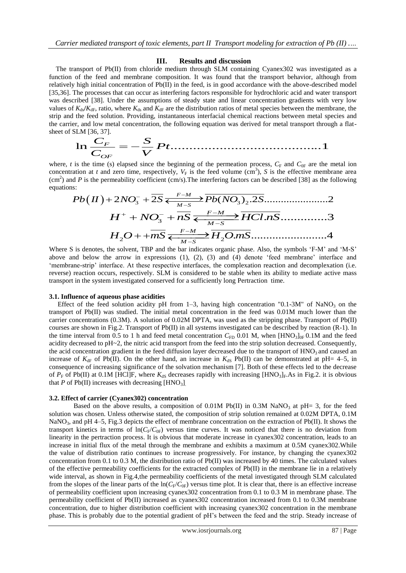#### **III. Results and discussion**

 The transport of Pb(II) from chloride medium through SLM containing Cyanex302 was investigated as a function of the feed and membrane composition. It was found that the transport behavior, although from relatively high initial concentration of Pb(II) in the feed, is in good accordance with the above-described model [35,36]. The processes that can occur as interfering factors responsible for hydrochloric acid and water transport was described [38]. Under the assumptions of steady state and linear concentration gradients with very low values of  $K_{ds}/K_{dF}$ , ratio, where  $K_{ds}$  and  $K_{dF}$  are the distribution ratios of metal species between the membrane, the strip and the feed solution. Providing, instantaneous interfacial chemical reactions between metal species and the carrier, and low metal concentration, the following equation was derived for metal transport through a flatsheet of SLM [36, 37]. n. Providing, instantion, the fitting the set of  $\frac{S}{V}Pt$ .

the feed solution. Providing, instantaneous interfacial chemical reactions between metal sp  
or, and low metal concentration, the following equation was derived for metal transport through  
SLM [36, 37].  

$$
\ln \frac{C_F}{C_{OF}} = -\frac{S}{V} Pt
$$
................. 1

where, *t* is the time (s) elapsed since the beginning of the permeation process,  $C_F$  and  $C_{0F}$  are the metal ion where, *t* is the time (s) engised since the beginning of the permeation process,  $c_F$  and  $c_{0F}$  are the metal for concentration at *t* and zero time, respectively,  $V_F$  is the feed volume (cm<sup>3</sup>), *S* is the effective (cm<sup>2</sup>) and *P* is the permeability coefficient (cm/s). The interfering factors can be described [38] as the following equations:<br>  $Pb(H) + 2NO_0^- + 2S \leq \frac{F-M}{P}b(NO_0) \leq 2S \leq 2S$ equations:

$$
Pb(H) + 2NO_3^- + 2S \xleftarrow{F-M} Pb(NO_3)_2.2S
$$
\n
$$
H^+ + NO_3^- + nS \xleftarrow{F-M} HCl.nS
$$
\n
$$
H_2O + mS \xleftarrow{F-M} H_2O.mS
$$
\n
$$
H^+ + mS \xleftarrow{F-M} H_2O.mS
$$

Where S is denotes, the solvent, TBP and the bar indicates organic phase. Also, the symbols 'F-M' and 'M-S' above and below the arrow in expressions (1), (2), (3) and (4) denote 'feed membrane' interface and 'membrane-strip' interface. At these respective interfaces, the complexation reaction and decomplexation (i.e. reverse) reaction occurs, respectively. SLM is considered to be stable when its ability to mediate active mass transport in the system investigated conserved for a sufficiently long Pertraction time.

#### **3.1. Influence of aqueous phase acidities**

Effect of the feed solution acidity pH from 1–3, having high concentration "0.1-3M" of NaNO<sub>3</sub> on the transport of Pb(II) was studied. The initial metal concentration in the feed was 0.01M much lower than the carrier concentrations (0.3M). A solution of 0.02M DPTA, was used as the stripping phase. Transport of Pb(II) courses are shown in Fig.2. Transport of Pb(II) in all systems investigated can be described by reaction (R-1). In the time interval from 0.5 to 1 h and feed metal concentration  $C_{FD}$  0.01 M, when [HNO<sub>3</sub>]<sub>0F</sub> 0.1M and the feed acidity decreased to pH~2, the nitric acid transport from the feed into the strip solution decreased. Consequently, the acid concentration gradient in the feed diffusion layer decreased due to the transport of  $HNO<sub>3</sub>$  and caused an increase of  $K_{\text{dF}}$  of Pb(II). On the other hand, an increase in  $K_{\text{dS}}$  Pb(II) can be demonstrated at pH= 4–5, in consequence of increasing significance of the solvation mechanism [7]. Both of these effects led to the decrease of  $P_F$  of Pb(II) at 0.1M [HCl]F, where  $K_{dS}$  decreases rapidly with increasing [HNO<sub>3</sub>]<sub>F</sub>.As in Fig.2. it is obvious that  $P$  of Pb(II) increases with decreasing  $[HNO<sub>3</sub>]$ .

#### **3.2. Effect of carrier (Cyanex302) concentration**

Based on the above results, a composition of  $0.01M$  Pb(II) in  $0.3M$  NaNO<sub>3</sub> at pH= 3, for the feed solution was chosen. Unless otherwise stated, the composition of strip solution remained at 0.02M DPTA, 0.1M NaNO<sub>3</sub>, and pH 4–5, Fig.3 depicts the effect of membrane concentration on the extraction of Pb(II). It shows the transport kinetics in terms of  $ln(C_F/C_{0F})$  versus time curves. It was noticed that there is no deviation from linearity in the pertraction process. It is obvious that moderate increase in cyanex302 concentration, leads to an increase in initial flux of the metal through the membrane and exhibits a maximum at 0.5M cyanex302.While the value of distribution ratio continues to increase progressively. For instance, by changing the cyanex302 concentration from 0.1 to 0.3 M, the distribution ratio of Pb(II) was increased by 40 times. The calculated values of the effective permeability coefficients for the extracted complex of Pb(II) in the membrane lie in a relatively wide interval, as shown in Fig.4,the permeability coefficients of the metal investigated through SLM calculated from the slopes of the linear parts of the  $\ln(C_F/C_{0F})$  versus time plot. It is clear that, there is an effective increase of permeability coefficient upon increasing cyanex302 concentration from 0.1 to 0.3 M in membrane phase. The permeability coefficient of Pb(II) increased as cyanex302 concentration increased from 0.1 to 0.3M membrane concentration, due to higher distribution coefficient with increasing cyanex302 concentration in the membrane phase. This is probably due to the potential gradient of pH's between the feed and the strip. Steady increase of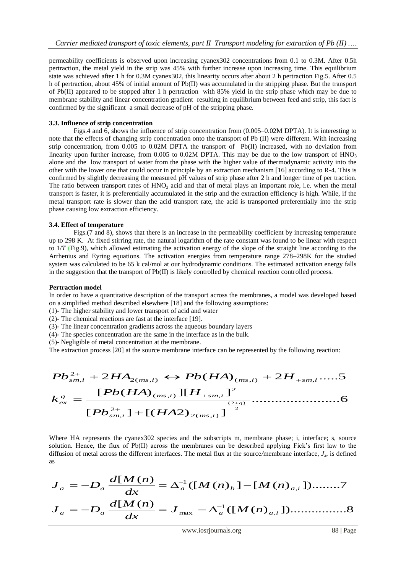permeability coefficients is observed upon increasing cyanex302 concentrations from 0.1 to 0.3M. After 0.5h pertraction, the metal yield in the strip was 45% with further increase upon increasing time. This equilibrium state was achieved after 1 h for 0.3M cyanex302, this linearity occurs after about 2 h pertraction Fig.5. After 0.5 h of pertraction, about 45% of initial amount of Pb(II) was accumulated in the stripping phase. But the transport of Pb(II) appeared to be stopped after 1 h pertraction with 85% yield in the strip phase which may be due to membrane stability and linear concentration gradient resulting in equilibrium between feed and strip, this fact is confirmed by the significant a small decrease of pH of the stripping phase.

## **3.3. Influence of strip concentration**

Figs.4 and 6, shows the influence of strip concentration from  $(0.005-0.02M$  DPTA). It is interesting to note that the effects of changing strip concentration onto the transport of Pb (II) were different. With increasing strip concentration, from 0.005 to 0.02M DPTA the transport of Pb(II) increased, with no deviation from linearity upon further increase, from 0.005 to 0.02M DPTA. This may be due to the low transport of  $HNO<sub>3</sub>$ alone and the low transport of water from the phase with the higher value of thermodynamic activity into the other with the lower one that could occur in principle by an extraction mechanism [16] according to R-4. This is confirmed by slightly decreasing the measured pH values of strip phase after 2 h and longer time of per traction. The ratio between transport rates of  $HNO<sub>3</sub>$  acid and that of metal plays an important role, i.e. when the metal transport is faster, it is preferentially accumulated in the strip and the extraction efficiency is high. While, if the metal transport rate is slower than the acid transport rate, the acid is transported preferentially into the strip phase causing low extraction efficiency.

# **3.4. Effect of temperature**

Figs. (7 and 8), shows that there is an increase in the permeability coefficient by increasing temperature up to 298 K. At fixed stirring rate, the natural logarithm of the rate constant was found to be linear with respect to 1/*T* (Fig.9), which allowed estimating the activation energy of the slope of the straight line according to the Arrhenius and Eyring equations. The activation energies from temperature range 278–298K for the studied system was calculated to be 65 k cal/mol at our hydrodynamic conditions. The estimated activation energy falls in the suggestion that the transport of Pb(II) is likely controlled by chemical reaction controlled process.

## **Pertraction model**

In order to have a quantitative description of the transport across the membranes, a model was developed based on a simplified method described elsewhere [18] and the following assumptions:

- (1)- The higher stability and lower transport of acid and water
- (2)- The chemical reactions are fast at the interface [19].
- (3)- The linear concentration gradients across the aqueous boundary layers
- (4)- The species concentration are the same in the interface as in the bulk.
- (5)- Negligible of metal concentration at the membrane.

The extraction process [20] at the source membrane interface can be represented by the following reaction:

$$
Pb_{sm,i}^{2+} + 2HA_{2(ms,i)} \leftrightarrow Pb(HA)_{(ms,i)} + 2H_{+sm,i}....5
$$
  

$$
k_{ex}^{q} = \frac{[Pb(HA)_{(ms,i)}][H_{+sm,i}]^{2}}{[Pb_{sm,i}^{2+}] + [(HA2)_{2(ms,i)}]^{\frac{(2+q)}{2}}}
$$
............6

Where HA represents the cyanex302 species and the subscripts m, membrane phase; i, interface; s, source solution. Hence, the flux of Pb(II) across the membranes can be described applying Fick's first law to the diffusion of metal across the different interfaces. The metal flux at the source*/*membrane interface, *J*<sup>a</sup> , is defined as

([ ( ) ])................8 [ ( ) ([ ( ) ] [ ( ) ])........7 [ ( ) , 1 max , 1 *a a a a i a a a b a i J M n dx d M n J D M n M n dx d M n J D*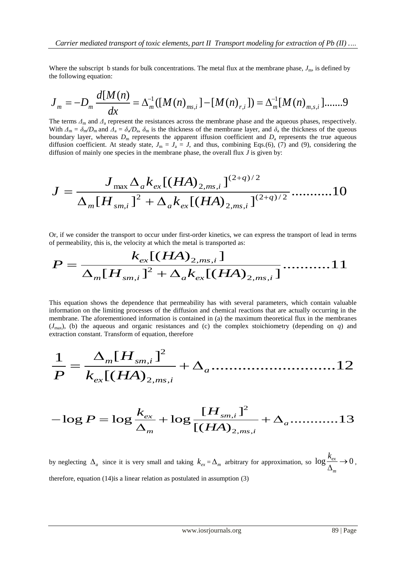Where the subscript b stands for bulk concentrations. The metal flux at the membrane phase,  $J<sub>m</sub>$ , is defined by the following equation:

$$
J_{m} = -D_{m} \frac{d[M(n)]}{dx} = \Delta_{m}^{-1}([M(n)_{ms,i}] - [M(n)_{r,i}]) = \Delta_{m}^{-1}[M(n)_{m,s,i}] \dots 9
$$

The terms *Δ*<sup>m</sup> and *Δ*<sup>a</sup> represent the resistances across the membrane phase and the aqueous phases, respectively. With  $\Delta_m = \delta_m/D_m$  and  $\Delta_a = \delta_a/D_a$ ,  $\delta_m$  is the thickness of the membrane layer, and  $\delta_a$  the thickness of the queous boundary layer, whereas  $D<sub>m</sub>$  represents the apparent iffusion coefficient and  $D<sub>a</sub>$  represents the true aqueous diffusion coefficient. At steady state,  $J_m = J_a = J$ , and thus, combining Eqs.(6), (7) and (9), considering the diffusion of mainly one species in the membrane phase, the overall flux *J* is given by:

$$
J = \frac{J_{\max} \Delta_a k_{ex} [(HA)_{2,ms,i}]^{(2+q)/2}}{\Delta_m [H_{sm,i}]^2 + \Delta_a k_{ex} [(HA)_{2,ms,i}]^{(2+q)/2}} \dots \dots \dots \dots 10
$$

Or, if we consider the transport to occur under first-order kinetics, we can express the transport of lead in terms

Or, if we consider the transport to occur under first-order kinetics, we can express the transport of lead in ten  
of permeability, this is, the velocity at which the metal is transported as:  

$$
P = \frac{k_{ex}[(HA)_{2,ms,i}]}{\Delta_m[H_{sm,i}]^2 + \Delta_a k_{ex}[(HA)_{2,ms,i}]}\dots 11
$$

This equation shows the dependence that permeability has with several parameters, which contain valuable information on the limiting processes of the diffusion and chemical reactions that are actually occurring in the membrane. The aforementioned information is contained in (a) the maximum theoretical flux in the membranes extraction constant. Transform of equation, therefore

(*J*max), (b) the aqueous and organic resistances and (c) the complex stoichiometry (depending on *q*) and <sup>1</sup> [ ] 2 , 2, , ............................12 [( ) *m sm i a ex ms i H P k HA* 

P 
$$
K_{ex}
$$
  $[(HA)_{2,ms,i}]$   
-log P = log  $\frac{k_{ex}}{\Delta_m}$  + log  $\frac{[H_{sm,i}]^2}{[(HA)_{2,ms,i}]}$  +  $\Delta_a$ ............13

by neglecting  $\Delta_a$  since it is very small and taking  $k_{ex} = \Delta_m$  arbitrary for approximation, so  $\log \frac{k_{ex}}{\Delta_b} \to 0$ *m*  $\frac{k_{ex}}{k_{ex}}$   $\rightarrow$  $\frac{ex}{\Delta_m}$   $\rightarrow$  0, therefore, equation (14)is a linear relation as postulated in assumption (3)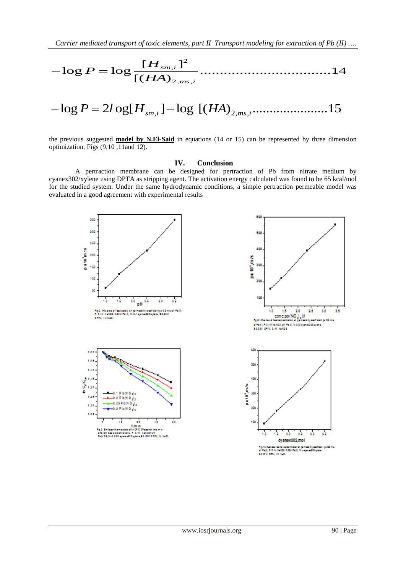**Carrier mediated transport of toxic elements, part II** Transport modeling for extraction of Pb (II)

\n
$$
-\log P = \log \frac{[H_{sm,i}]^2}{[(HA)_{2,ms,i}]^2}
$$

$$
- \log F - \log \frac{[{{(HA})}_{2,m},i}{{[({HA})}_{2,m},i} \cdot ... \cdot {]}^{12}
$$
  
- log P = 2log[H<sub>sm,i</sub>] - log [(HA)<sub>2,m</sub>,<sub>i</sub>............15]

the previous suggested **model by N.El-Said** in equations (14 or 15) can be represented by three dimension optimization, Figs (9,10 ,11and 12).

### **IV. Conclusion**

A pertraction membrane can be designed for pertraction of Pb from nitrate medium by cyanex302/xylene using DPTA as stripping agent. The activation energy calculated was found to be 65 kcal/mol for the studied system. Under the same hydrodynamic conditions, a simple pertraction permeable model was evaluated in a good agreement with experimental results

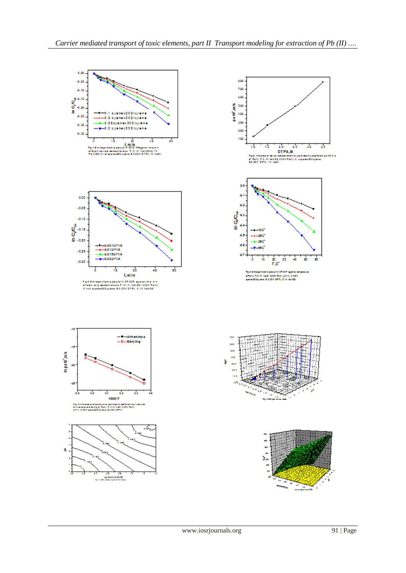